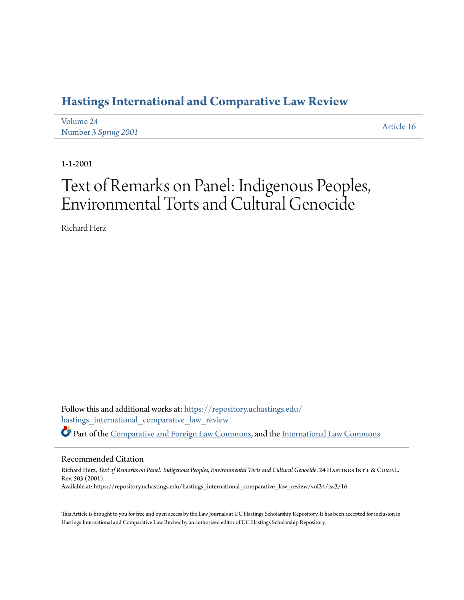## **[Hastings International and Comparative Law Review](https://repository.uchastings.edu/hastings_international_comparative_law_review?utm_source=repository.uchastings.edu%2Fhastings_international_comparative_law_review%2Fvol24%2Fiss3%2F16&utm_medium=PDF&utm_campaign=PDFCoverPages)**

| Volume 24            | Article 16 |
|----------------------|------------|
| Number 3 Spring 2001 |            |

1-1-2001

# Text of Remarks on Panel: Indigenous Peoples, Environmental Torts and Cultural Genocide

Richard Herz

Follow this and additional works at: [https://repository.uchastings.edu/](https://repository.uchastings.edu/hastings_international_comparative_law_review?utm_source=repository.uchastings.edu%2Fhastings_international_comparative_law_review%2Fvol24%2Fiss3%2F16&utm_medium=PDF&utm_campaign=PDFCoverPages) [hastings\\_international\\_comparative\\_law\\_review](https://repository.uchastings.edu/hastings_international_comparative_law_review?utm_source=repository.uchastings.edu%2Fhastings_international_comparative_law_review%2Fvol24%2Fiss3%2F16&utm_medium=PDF&utm_campaign=PDFCoverPages) Part of the [Comparative and Foreign Law Commons](http://network.bepress.com/hgg/discipline/836?utm_source=repository.uchastings.edu%2Fhastings_international_comparative_law_review%2Fvol24%2Fiss3%2F16&utm_medium=PDF&utm_campaign=PDFCoverPages), and the [International Law Commons](http://network.bepress.com/hgg/discipline/609?utm_source=repository.uchastings.edu%2Fhastings_international_comparative_law_review%2Fvol24%2Fiss3%2F16&utm_medium=PDF&utm_campaign=PDFCoverPages)

#### Recommended Citation

Richard Herz, Text of Remarks on Panel: Indigenous Peoples, Environmental Torts and Cultural Genocide, 24 HASTINGS INT'L & COMP.L. Rev. 503 (2001). Available at: https://repository.uchastings.edu/hastings\_international\_comparative\_law\_review/vol24/iss3/16

This Article is brought to you for free and open access by the Law Journals at UC Hastings Scholarship Repository. It has been accepted for inclusion in Hastings International and Comparative Law Review by an authorized editor of UC Hastings Scholarship Repository.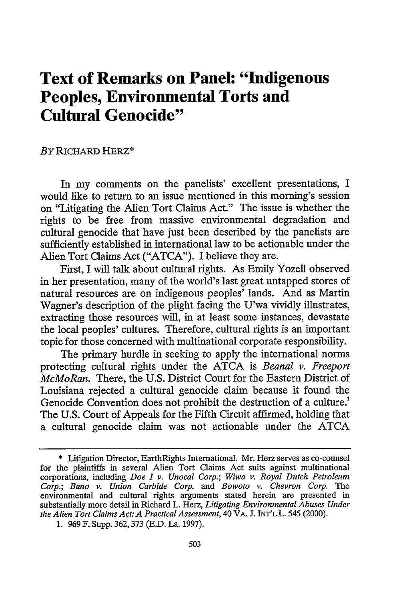## **Text of Remarks on Panel: "Indigenous Peoples, Environmental Torts and Cultural Genocide"**

#### BY RICHARD HERZ\*

In my comments on the panelists' excellent presentations, I would like to return to an issue mentioned in this morning's session on "Litigating the Alien Tort Claims Act." The issue is whether the rights to be free from massive environmental degradation and cultural genocide that have just been described by the panelists are sufficiently established in international law to be actionable under the Alien Tort Claims Act ("ATCA"). I believe they are.

First, I will talk about cultural rights. As Emily Yozell observed in her presentation, many of the world's last great untapped stores of natural resources are on indigenous peoples' lands. And as Martin Wagner's description of the plight facing the U'wa vividly illustrates, extracting those resources will, in at least some instances, devastate the local peoples' cultures. Therefore, cultural rights is an important topic for those concerned with multinational corporate responsibility.

The primary hurdle in seeking to apply the international norms protecting cultural rights under the ATCA is *Beanal v. Freeport McMoRan.* There, the U.S. District Court for the Eastern District of Louisiana rejected a cultural genocide claim because it found the Genocide Convention does not prohibit the destruction of a culture.<sup>1</sup> The U.S. Court of Appeals for the Fifth Circuit affirmed, holding that a cultural genocide claim was not actionable under the ATCA

<sup>\*</sup> Litigation Director, EarthRights International. Mr. Herz serves as co-counsel for the plaintiffs in several Alien Tort Claims Act suits against multinational corporations, including *Doe I v. Unocal Corp.; Wiwa v. Royal Dutch Petroleum Corp.; Bano v. Union Carbide Corp. and Bowoto v. Chevron Corp.* The environmental and cultural rights arguments stated herein are presented in substantially more detail in Richard L. Herz, *Litigating Environmental Abuses Under the Alien Tort Claims Act: A Practical Assessment,* 40 VA. **J.** INT'L L. 545 (2000).

<sup>1. 969</sup> F. Supp. 362,373 (E.D. La. 1997).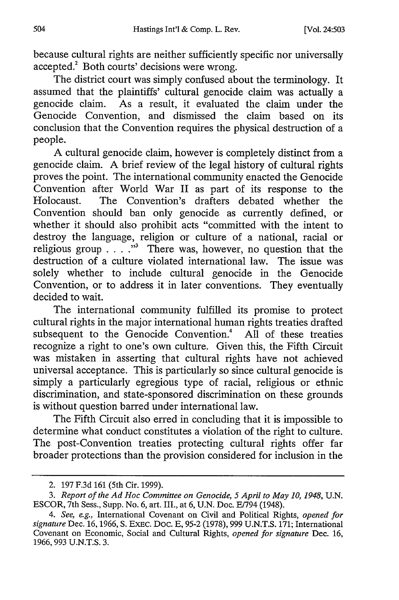because cultural rights are neither sufficiently specific nor universally accepted.<sup>2</sup> Both courts' decisions were wrong.

The district court was simply confused about the terminology. It assumed that the plaintiffs' cultural genocide claim was actually a genocide claim. As a result, it evaluated the claim under the Genocide Convention, and dismissed the claim based on its conclusion that the Convention requires the physical destruction of a people.

A cultural genocide claim, however is completely distinct from a genocide claim. A brief review of the legal history of cultural rights proves the point. The international community enacted the Genocide Convention after World War II as part of its response to the Holocaust. The Convention's drafters debated whether the Convention should ban only genocide as currently defined, or whether it should also prohibit acts "committed with the intent to destroy the language, religion or culture of a national, racial or religious group . **.** . **."** There was, however, no question that the destruction of a culture violated international law. The issue was solely whether to include cultural genocide in the Genocide Convention, or to address it in later conventions. They eventually decided to wait.

The international community fulfilled its promise to protect cultural rights in the major international human rights treaties drafted subsequent to the Genocide Convention.<sup>4</sup> All of these treaties recognize a right to one's own culture. Given this, the Fifth Circuit was mistaken in asserting that cultural rights have not achieved universal acceptance. This is particularly so since cultural genocide is simply a particularly egregious type of racial, religious or ethnic discrimination, and state-sponsored discrimination on these grounds is without question barred under international law.

The Fifth Circuit also erred in concluding that it is impossible to determine what conduct constitutes a violation of the right to culture. The post-Convention treaties protecting cultural rights offer far broader protections than the provision considered for inclusion in the

<sup>2. 197</sup> F.3d 161 (5th Cir. 1999).

*<sup>3.</sup> Report of the Ad Hoc Committee on Genocide, 5 April to May 10, 1948,* U.N. ESCOR, 7th Sess., Supp. No. 6, art. III., at 6, U.N. Doe. E1794 (1948).

*<sup>4.</sup> See, e.g.,* International Covenant on Civil and Political Rights, *opened for signature* Dec. 16, 1966, S. EXEC. Doc. E, **95-2** (1978), 999 U.N.T.S. 171; International Covenant on Economic, Social and Cultural Rights, *opened for signature* Dec. 16, 1966, 993 U.N.T.S. 3.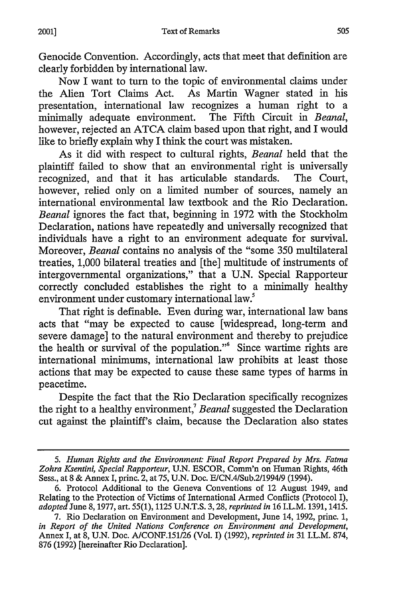Genocide Convention. Accordingly, acts that meet that definition are clearly forbidden by international law.

Now I want to turn to the topic of environmental claims under the Alien Tort Claims Act. As Martin Wagner stated in his presentation, international law recognizes a human right to a minimally adequate environment. The Fifth Circuit in *Beanal,* however, rejected an ATCA claim based upon that right, and I would like to briefly explain why I think the court was mistaken.

As it did with respect to cultural rights, *Beanal* held that the plaintiff failed to show that an environmental right is universally recognized, and that it has articulable standards. The Court, however, relied only on a limited number of sources, namely an international environmental law textbook and the Rio Declaration. *Beanal* ignores the fact that, beginning in 1972 with the Stockholm Declaration, nations have repeatedly and universally recognized that individuals have a right to an environment adequate for survival. Moreover, *Beanal* contains no analysis of the "some 350 multilateral treaties, 1,000 bilateral treaties and [the] multitude of instruments of intergovernmental organizations," that a U.N. Special Rapporteur correctly concluded establishes the right to a minimally healthy environment under customary international law.<sup>5</sup>

That right is definable. Even during war, international law bans acts that "may be expected to cause [widespread, long-term and severe damage] to the natural environment and thereby to prejudice the health or survival of the population."6 Since wartime rights are international minimums, international law prohibits at least those actions that may be expected to cause these same types of harms in peacetime.

Despite the fact that the Rio Declaration specifically recognizes the right to a healthy environment,7 *Beanal* suggested the Declaration cut against the plaintiff's claim, because the Declaration also states

2001]

*<sup>5.</sup> Human Rights and the Environment: Final Report Prepared by Mrs. Fatma Zohra Ksentini, Special Rapporteur,* U.N. ESCOR, Comm'n on Human Rights, 46th Sess., at 8 & Annex I, princ. 2, at 75, U.N. Doe. EICN.4/Sub.2/1994/9 (1994).

<sup>6.</sup> Protocol Additional to the Geneva Conventions of 12 August 1949, and Relating to the Protection of Victims of International Armed Conflicts (Protocol I), *adopted* June 8, 1977, art. 55(1), 1125 U.N.T.S. 3, 28, *reprinted in* 16 I.L.M. 1391, 1415.

<sup>7.</sup> Rio Declaration on Environment and Development, June 14, 1992, princ. 1, *in Report of the United Nations Conference on Environment and Development,* Annex I, at 8, U.N. Doc. A/CONF.151/26 (Vol. I) (1992), *reprinted in* 31 I.L.M. 874, 876 (1992) [hereinafter Rio Declaration].